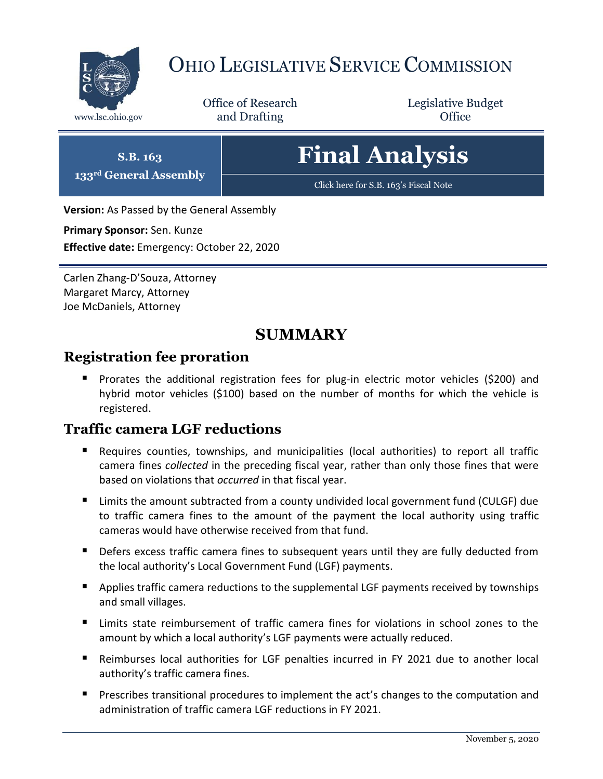

# OHIO LEGISLATIVE SERVICE COMMISSION

Office of Research www.lsc.ohio.gov **and Drafting Office** 

Legislative Budget

# **Final Analysis**

[Click here for S.B. 163](https://www.legislature.ohio.gov/legislation/legislation-documents?id=GA133-HB-262)'s Fiscal Note

**Version:** As Passed by the General Assembly

**Primary Sponsor:** Sen. Kunze

**S.B. 163 133rd General Assembly**

**Effective date:** Emergency: October 22, 2020

Carlen Zhang-D'Souza, Attorney Margaret Marcy, Attorney Joe McDaniels, Attorney

# **SUMMARY**

# **Registration fee proration**

 Prorates the additional registration fees for plug-in electric motor vehicles (\$200) and hybrid motor vehicles (\$100) based on the number of months for which the vehicle is registered.

# **Traffic camera LGF reductions**

- Requires counties, townships, and municipalities (local authorities) to report all traffic camera fines *collected* in the preceding fiscal year, rather than only those fines that were based on violations that *occurred* in that fiscal year.
- Limits the amount subtracted from a county undivided local government fund (CULGF) due to traffic camera fines to the amount of the payment the local authority using traffic cameras would have otherwise received from that fund.
- **Defers excess traffic camera fines to subsequent years until they are fully deducted from** the local authority's Local Government Fund (LGF) payments.
- **Applies traffic camera reductions to the supplemental LGF payments received by townships** and small villages.
- Limits state reimbursement of traffic camera fines for violations in school zones to the amount by which a local authority's LGF payments were actually reduced.
- Reimburses local authorities for LGF penalties incurred in FY 2021 due to another local authority's traffic camera fines.
- Prescribes transitional procedures to implement the act's changes to the computation and administration of traffic camera LGF reductions in FY 2021.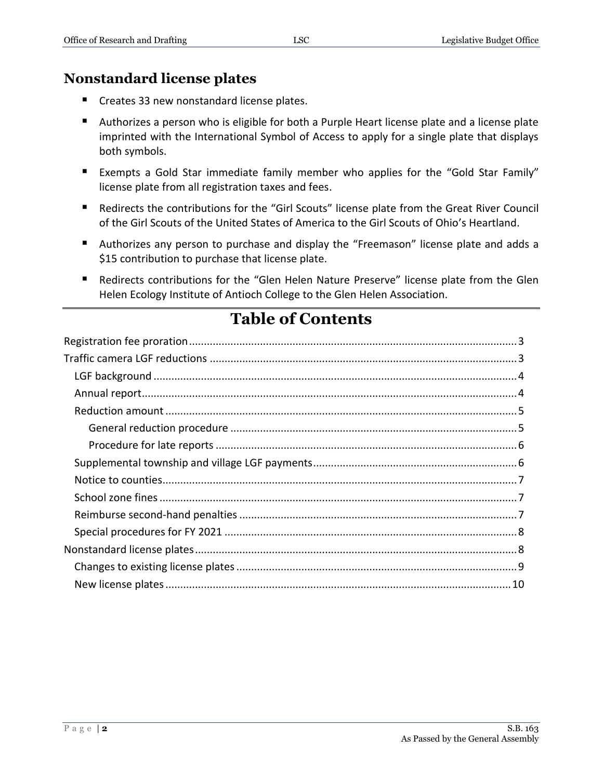## **Nonstandard license plates**

- Creates 33 new nonstandard license plates.
- Authorizes a person who is eligible for both a Purple Heart license plate and a license plate imprinted with the International Symbol of Access to apply for a single plate that displays both symbols.
- Exempts a Gold Star immediate family member who applies for the "Gold Star Family" license plate from all registration taxes and fees.
- Redirects the contributions for the "Girl Scouts" license plate from the Great River Council of the Girl Scouts of the United States of America to the Girl Scouts of Ohio's Heartland.
- Authorizes any person to purchase and display the "Freemason" license plate and adds a \$15 contribution to purchase that license plate.
- Redirects contributions for the "Glen Helen Nature Preserve" license plate from the Glen Helen Ecology Institute of Antioch College to the Glen Helen Association.

# **Table of Contents**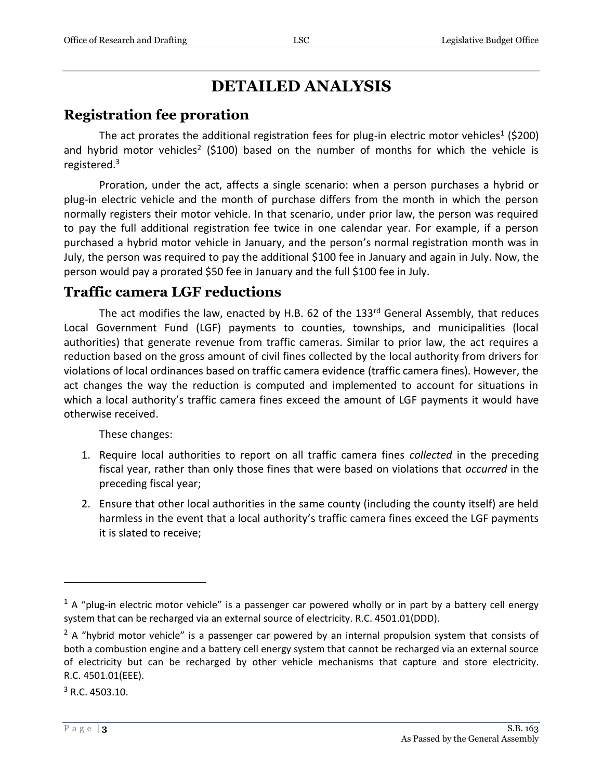# **DETAILED ANALYSIS**

## <span id="page-2-0"></span>**Registration fee proration**

The act prorates the additional registration fees for plug-in electric motor vehicles<sup>1</sup> (\$200) and hybrid motor vehicles<sup>2</sup> (\$100) based on the number of months for which the vehicle is registered.<sup>3</sup>

Proration, under the act, affects a single scenario: when a person purchases a hybrid or plug-in electric vehicle and the month of purchase differs from the month in which the person normally registers their motor vehicle. In that scenario, under prior law, the person was required to pay the full additional registration fee twice in one calendar year. For example, if a person purchased a hybrid motor vehicle in January, and the person's normal registration month was in July, the person was required to pay the additional \$100 fee in January and again in July. Now, the person would pay a prorated \$50 fee in January and the full \$100 fee in July.

### <span id="page-2-1"></span>**Traffic camera LGF reductions**

The act modifies the law, enacted by H.B. 62 of the  $133<sup>rd</sup>$  General Assembly, that reduces Local Government Fund (LGF) payments to counties, townships, and municipalities (local authorities) that generate revenue from traffic cameras. Similar to prior law, the act requires a reduction based on the gross amount of civil fines collected by the local authority from drivers for violations of local ordinances based on traffic camera evidence (traffic camera fines). However, the act changes the way the reduction is computed and implemented to account for situations in which a local authority's traffic camera fines exceed the amount of LGF payments it would have otherwise received.

These changes:

- 1. Require local authorities to report on all traffic camera fines *collected* in the preceding fiscal year, rather than only those fines that were based on violations that *occurred* in the preceding fiscal year;
- 2. Ensure that other local authorities in the same county (including the county itself) are held harmless in the event that a local authority's traffic camera fines exceed the LGF payments it is slated to receive;

 $3$  R.C. 4503.10.

 $1$  A "plug-in electric motor vehicle" is a passenger car powered wholly or in part by a battery cell energy system that can be recharged via an external source of electricity. R.C. 4501.01(DDD).

 $<sup>2</sup>$  A "hybrid motor vehicle" is a passenger car powered by an internal propulsion system that consists of</sup> both a combustion engine and a battery cell energy system that cannot be recharged via an external source of electricity but can be recharged by other vehicle mechanisms that capture and store electricity. R.C. 4501.01(EEE).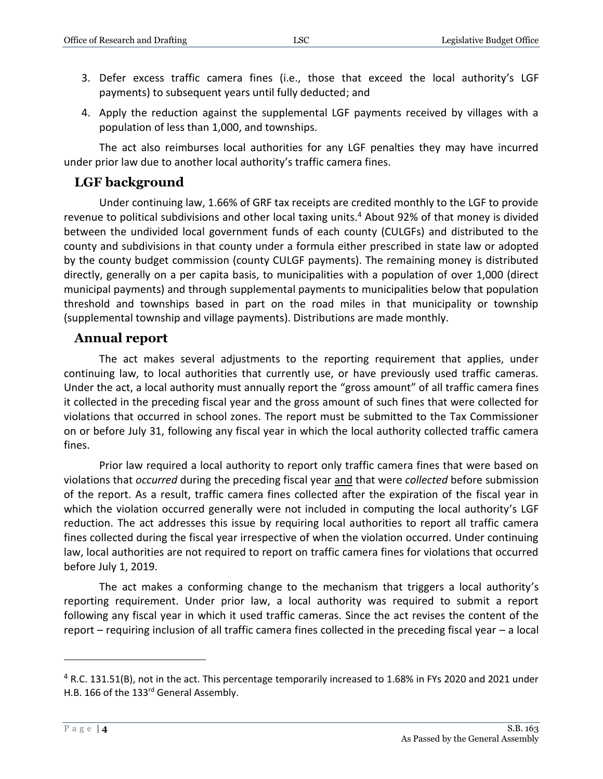- 3. Defer excess traffic camera fines (i.e., those that exceed the local authority's LGF payments) to subsequent years until fully deducted; and
- 4. Apply the reduction against the supplemental LGF payments received by villages with a population of less than 1,000, and townships.

The act also reimburses local authorities for any LGF penalties they may have incurred under prior law due to another local authority's traffic camera fines.

#### <span id="page-3-0"></span>**LGF background**

Under continuing law, 1.66% of GRF tax receipts are credited monthly to the LGF to provide revenue to political subdivisions and other local taxing units.<sup>4</sup> About 92% of that money is divided between the undivided local government funds of each county (CULGFs) and distributed to the county and subdivisions in that county under a formula either prescribed in state law or adopted by the county budget commission (county CULGF payments). The remaining money is distributed directly, generally on a per capita basis, to municipalities with a population of over 1,000 (direct municipal payments) and through supplemental payments to municipalities below that population threshold and townships based in part on the road miles in that municipality or township (supplemental township and village payments). Distributions are made monthly.

#### <span id="page-3-1"></span>**Annual report**

The act makes several adjustments to the reporting requirement that applies, under continuing law, to local authorities that currently use, or have previously used traffic cameras. Under the act, a local authority must annually report the "gross amount" of all traffic camera fines it collected in the preceding fiscal year and the gross amount of such fines that were collected for violations that occurred in school zones. The report must be submitted to the Tax Commissioner on or before July 31, following any fiscal year in which the local authority collected traffic camera fines.

Prior law required a local authority to report only traffic camera fines that were based on violations that *occurred* during the preceding fiscal year and that were *collected* before submission of the report. As a result, traffic camera fines collected after the expiration of the fiscal year in which the violation occurred generally were not included in computing the local authority's LGF reduction. The act addresses this issue by requiring local authorities to report all traffic camera fines collected during the fiscal year irrespective of when the violation occurred. Under continuing law, local authorities are not required to report on traffic camera fines for violations that occurred before July 1, 2019.

The act makes a conforming change to the mechanism that triggers a local authority's reporting requirement. Under prior law, a local authority was required to submit a report following any fiscal year in which it used traffic cameras. Since the act revises the content of the report – requiring inclusion of all traffic camera fines collected in the preceding fiscal year – a local

<sup>4</sup> R.C. 131.51(B), not in the act. This percentage temporarily increased to 1.68% in FYs 2020 and 2021 under H.B. 166 of the 133<sup>rd</sup> General Assembly.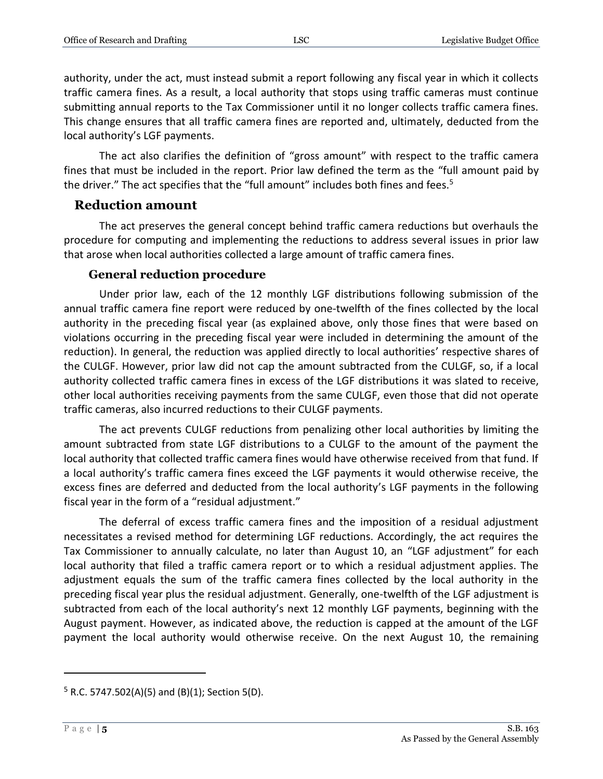authority, under the act, must instead submit a report following any fiscal year in which it collects traffic camera fines. As a result, a local authority that stops using traffic cameras must continue submitting annual reports to the Tax Commissioner until it no longer collects traffic camera fines. This change ensures that all traffic camera fines are reported and, ultimately, deducted from the local authority's LGF payments.

The act also clarifies the definition of "gross amount" with respect to the traffic camera fines that must be included in the report. Prior law defined the term as the "full amount paid by the driver." The act specifies that the "full amount" includes both fines and fees.<sup>5</sup>

#### <span id="page-4-0"></span>**Reduction amount**

The act preserves the general concept behind traffic camera reductions but overhauls the procedure for computing and implementing the reductions to address several issues in prior law that arose when local authorities collected a large amount of traffic camera fines.

#### **General reduction procedure**

<span id="page-4-1"></span>Under prior law, each of the 12 monthly LGF distributions following submission of the annual traffic camera fine report were reduced by one-twelfth of the fines collected by the local authority in the preceding fiscal year (as explained above, only those fines that were based on violations occurring in the preceding fiscal year were included in determining the amount of the reduction). In general, the reduction was applied directly to local authorities' respective shares of the CULGF. However, prior law did not cap the amount subtracted from the CULGF, so, if a local authority collected traffic camera fines in excess of the LGF distributions it was slated to receive, other local authorities receiving payments from the same CULGF, even those that did not operate traffic cameras, also incurred reductions to their CULGF payments.

The act prevents CULGF reductions from penalizing other local authorities by limiting the amount subtracted from state LGF distributions to a CULGF to the amount of the payment the local authority that collected traffic camera fines would have otherwise received from that fund. If a local authority's traffic camera fines exceed the LGF payments it would otherwise receive, the excess fines are deferred and deducted from the local authority's LGF payments in the following fiscal year in the form of a "residual adjustment."

The deferral of excess traffic camera fines and the imposition of a residual adjustment necessitates a revised method for determining LGF reductions. Accordingly, the act requires the Tax Commissioner to annually calculate, no later than August 10, an "LGF adjustment" for each local authority that filed a traffic camera report or to which a residual adjustment applies. The adjustment equals the sum of the traffic camera fines collected by the local authority in the preceding fiscal year plus the residual adjustment. Generally, one-twelfth of the LGF adjustment is subtracted from each of the local authority's next 12 monthly LGF payments, beginning with the August payment. However, as indicated above, the reduction is capped at the amount of the LGF payment the local authority would otherwise receive. On the next August 10, the remaining

 $5$  R.C. 5747.502(A)(5) and (B)(1); Section 5(D).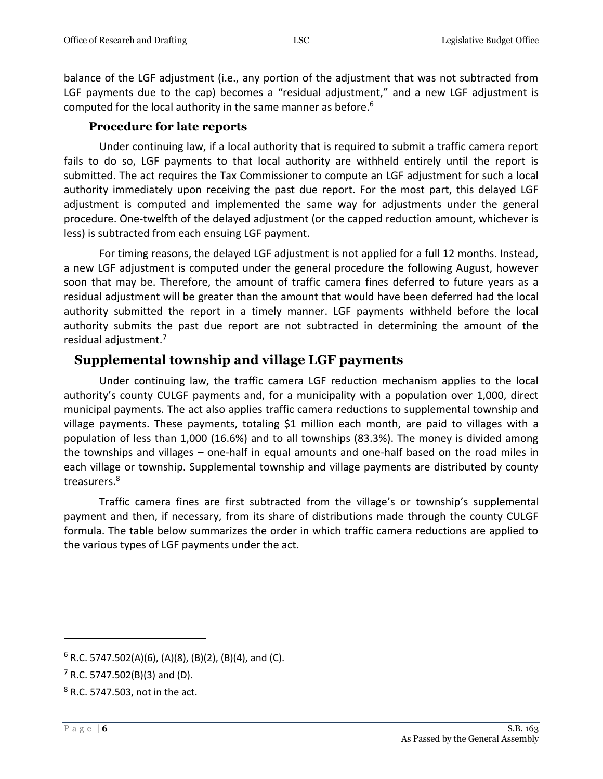balance of the LGF adjustment (i.e., any portion of the adjustment that was not subtracted from LGF payments due to the cap) becomes a "residual adjustment," and a new LGF adjustment is computed for the local authority in the same manner as before.<sup>6</sup>

#### **Procedure for late reports**

<span id="page-5-0"></span>Under continuing law, if a local authority that is required to submit a traffic camera report fails to do so, LGF payments to that local authority are withheld entirely until the report is submitted. The act requires the Tax Commissioner to compute an LGF adjustment for such a local authority immediately upon receiving the past due report. For the most part, this delayed LGF adjustment is computed and implemented the same way for adjustments under the general procedure. One-twelfth of the delayed adjustment (or the capped reduction amount, whichever is less) is subtracted from each ensuing LGF payment.

For timing reasons, the delayed LGF adjustment is not applied for a full 12 months. Instead, a new LGF adjustment is computed under the general procedure the following August, however soon that may be. Therefore, the amount of traffic camera fines deferred to future years as a residual adjustment will be greater than the amount that would have been deferred had the local authority submitted the report in a timely manner. LGF payments withheld before the local authority submits the past due report are not subtracted in determining the amount of the residual adjustment.<sup>7</sup>

#### <span id="page-5-1"></span>**Supplemental township and village LGF payments**

Under continuing law, the traffic camera LGF reduction mechanism applies to the local authority's county CULGF payments and, for a municipality with a population over 1,000, direct municipal payments. The act also applies traffic camera reductions to supplemental township and village payments. These payments, totaling \$1 million each month, are paid to villages with a population of less than 1,000 (16.6%) and to all townships (83.3%). The money is divided among the townships and villages – one-half in equal amounts and one-half based on the road miles in each village or township. Supplemental township and village payments are distributed by county treasurers.<sup>8</sup>

Traffic camera fines are first subtracted from the village's or township's supplemental payment and then, if necessary, from its share of distributions made through the county CULGF formula. The table below summarizes the order in which traffic camera reductions are applied to the various types of LGF payments under the act.

 $6$  R.C. 5747.502(A)(6), (A)(8), (B)(2), (B)(4), and (C).

 $<sup>7</sup>$  R.C. 5747.502(B)(3) and (D).</sup>

 $8$  R.C. 5747.503, not in the act.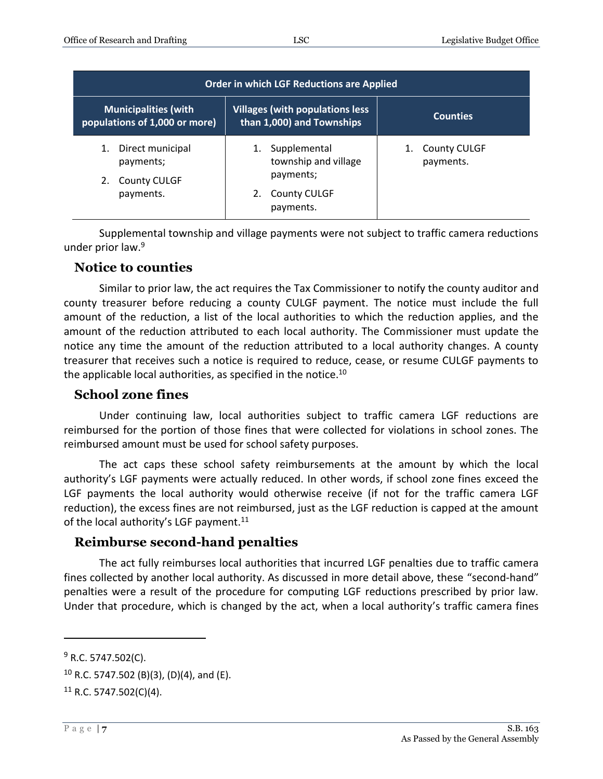| <b>Order in which LGF Reductions are Applied</b>                 |                                                                      |                                  |  |
|------------------------------------------------------------------|----------------------------------------------------------------------|----------------------------------|--|
| <b>Municipalities (with</b><br>populations of 1,000 or more)     | <b>Villages (with populations less)</b><br>than 1,000) and Townships | <b>Counties</b>                  |  |
| Direct municipal<br>1.<br>payments;<br><b>County CULGF</b><br>2. | Supplemental<br>township and village<br>payments;                    | <b>County CULGF</b><br>payments. |  |
| payments.                                                        | <b>County CULGF</b><br>payments.                                     |                                  |  |

Supplemental township and village payments were not subject to traffic camera reductions under prior law.<sup>9</sup>

#### <span id="page-6-0"></span>**Notice to counties**

Similar to prior law, the act requires the Tax Commissioner to notify the county auditor and county treasurer before reducing a county CULGF payment. The notice must include the full amount of the reduction, a list of the local authorities to which the reduction applies, and the amount of the reduction attributed to each local authority. The Commissioner must update the notice any time the amount of the reduction attributed to a local authority changes. A county treasurer that receives such a notice is required to reduce, cease, or resume CULGF payments to the applicable local authorities, as specified in the notice.<sup>10</sup>

#### <span id="page-6-1"></span>**School zone fines**

Under continuing law, local authorities subject to traffic camera LGF reductions are reimbursed for the portion of those fines that were collected for violations in school zones. The reimbursed amount must be used for school safety purposes.

The act caps these school safety reimbursements at the amount by which the local authority's LGF payments were actually reduced. In other words, if school zone fines exceed the LGF payments the local authority would otherwise receive (if not for the traffic camera LGF reduction), the excess fines are not reimbursed, just as the LGF reduction is capped at the amount of the local authority's LGF payment.<sup>11</sup>

#### <span id="page-6-2"></span>**Reimburse second-hand penalties**

The act fully reimburses local authorities that incurred LGF penalties due to traffic camera fines collected by another local authority. As discussed in more detail above, these "second-hand" penalties were a result of the procedure for computing LGF reductions prescribed by prior law. Under that procedure, which is changed by the act, when a local authority's traffic camera fines

 $9$  R.C. 5747.502(C).

 $10$  R.C. 5747.502 (B)(3), (D)(4), and (E).

 $11$  R.C. 5747.502(C)(4).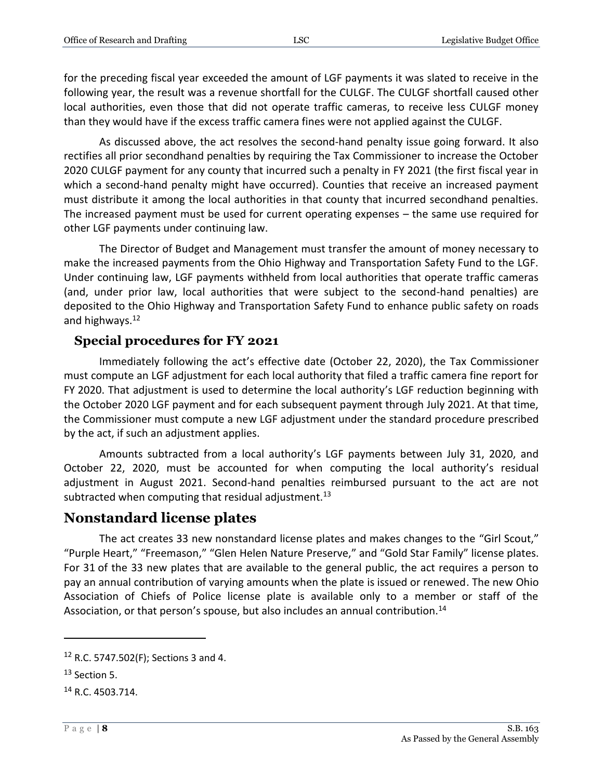for the preceding fiscal year exceeded the amount of LGF payments it was slated to receive in the following year, the result was a revenue shortfall for the CULGF. The CULGF shortfall caused other local authorities, even those that did not operate traffic cameras, to receive less CULGF money than they would have if the excess traffic camera fines were not applied against the CULGF.

As discussed above, the act resolves the second-hand penalty issue going forward. It also rectifies all prior secondhand penalties by requiring the Tax Commissioner to increase the October 2020 CULGF payment for any county that incurred such a penalty in FY 2021 (the first fiscal year in which a second-hand penalty might have occurred). Counties that receive an increased payment must distribute it among the local authorities in that county that incurred secondhand penalties. The increased payment must be used for current operating expenses – the same use required for other LGF payments under continuing law.

The Director of Budget and Management must transfer the amount of money necessary to make the increased payments from the Ohio Highway and Transportation Safety Fund to the LGF. Under continuing law, LGF payments withheld from local authorities that operate traffic cameras (and, under prior law, local authorities that were subject to the second-hand penalties) are deposited to the Ohio Highway and Transportation Safety Fund to enhance public safety on roads and highways.<sup>12</sup>

## <span id="page-7-0"></span>**Special procedures for FY 2021**

Immediately following the act's effective date (October 22, 2020), the Tax Commissioner must compute an LGF adjustment for each local authority that filed a traffic camera fine report for FY 2020. That adjustment is used to determine the local authority's LGF reduction beginning with the October 2020 LGF payment and for each subsequent payment through July 2021. At that time, the Commissioner must compute a new LGF adjustment under the standard procedure prescribed by the act, if such an adjustment applies.

Amounts subtracted from a local authority's LGF payments between July 31, 2020, and October 22, 2020, must be accounted for when computing the local authority's residual adjustment in August 2021. Second-hand penalties reimbursed pursuant to the act are not subtracted when computing that residual adjustment.<sup>13</sup>

# <span id="page-7-1"></span>**Nonstandard license plates**

The act creates 33 new nonstandard license plates and makes changes to the "Girl Scout," "Purple Heart," "Freemason," "Glen Helen Nature Preserve," and "Gold Star Family" license plates. For 31 of the 33 new plates that are available to the general public, the act requires a person to pay an annual contribution of varying amounts when the plate is issued or renewed. The new Ohio Association of Chiefs of Police license plate is available only to a member or staff of the Association, or that person's spouse, but also includes an annual contribution.<sup>14</sup>

 $12$  R.C. 5747.502(F); Sections 3 and 4.

 $13$  Section 5.

<sup>&</sup>lt;sup>14</sup> R.C. 4503.714.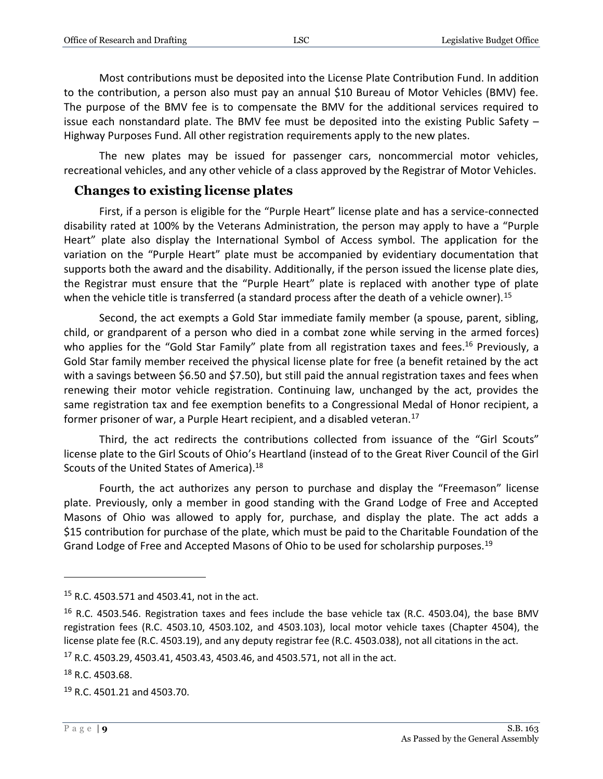Most contributions must be deposited into the License Plate Contribution Fund. In addition to the contribution, a person also must pay an annual \$10 Bureau of Motor Vehicles (BMV) fee. The purpose of the BMV fee is to compensate the BMV for the additional services required to issue each nonstandard plate. The BMV fee must be deposited into the existing Public Safety – Highway Purposes Fund. All other registration requirements apply to the new plates.

The new plates may be issued for passenger cars, noncommercial motor vehicles, recreational vehicles, and any other vehicle of a class approved by the Registrar of Motor Vehicles.

#### <span id="page-8-0"></span>**Changes to existing license plates**

First, if a person is eligible for the "Purple Heart" license plate and has a service-connected disability rated at 100% by the Veterans Administration, the person may apply to have a "Purple Heart" plate also display the International Symbol of Access symbol. The application for the variation on the "Purple Heart" plate must be accompanied by evidentiary documentation that supports both the award and the disability. Additionally, if the person issued the license plate dies, the Registrar must ensure that the "Purple Heart" plate is replaced with another type of plate when the vehicle title is transferred (a standard process after the death of a vehicle owner).<sup>15</sup>

Second, the act exempts a Gold Star immediate family member (a spouse, parent, sibling, child, or grandparent of a person who died in a combat zone while serving in the armed forces) who applies for the "Gold Star Family" plate from all registration taxes and fees.<sup>16</sup> Previously, a Gold Star family member received the physical license plate for free (a benefit retained by the act with a savings between \$6.50 and \$7.50), but still paid the annual registration taxes and fees when renewing their motor vehicle registration. Continuing law, unchanged by the act, provides the same registration tax and fee exemption benefits to a Congressional Medal of Honor recipient, a former prisoner of war, a Purple Heart recipient, and a disabled veteran.<sup>17</sup>

Third, the act redirects the contributions collected from issuance of the "Girl Scouts" license plate to the Girl Scouts of Ohio's Heartland (instead of to the Great River Council of the Girl Scouts of the United States of America).<sup>18</sup>

Fourth, the act authorizes any person to purchase and display the "Freemason" license plate. Previously, only a member in good standing with the Grand Lodge of Free and Accepted Masons of Ohio was allowed to apply for, purchase, and display the plate. The act adds a \$15 contribution for purchase of the plate, which must be paid to the Charitable Foundation of the Grand Lodge of Free and Accepted Masons of Ohio to be used for scholarship purposes.<sup>19</sup>

<sup>15</sup> R.C. 4503.571 and 4503.41, not in the act.

 $16$  R.C. 4503.546. Registration taxes and fees include the base vehicle tax (R.C. 4503.04), the base BMV registration fees (R.C. 4503.10, 4503.102, and 4503.103), local motor vehicle taxes (Chapter 4504), the license plate fee (R.C. 4503.19), and any deputy registrar fee (R.C. 4503.038), not all citations in the act.

 $17$  R.C. 4503.29, 4503.41, 4503.43, 4503.46, and 4503.571, not all in the act.

 $18$  R.C. 4503.68.

<sup>&</sup>lt;sup>19</sup> R.C. 4501.21 and 4503.70.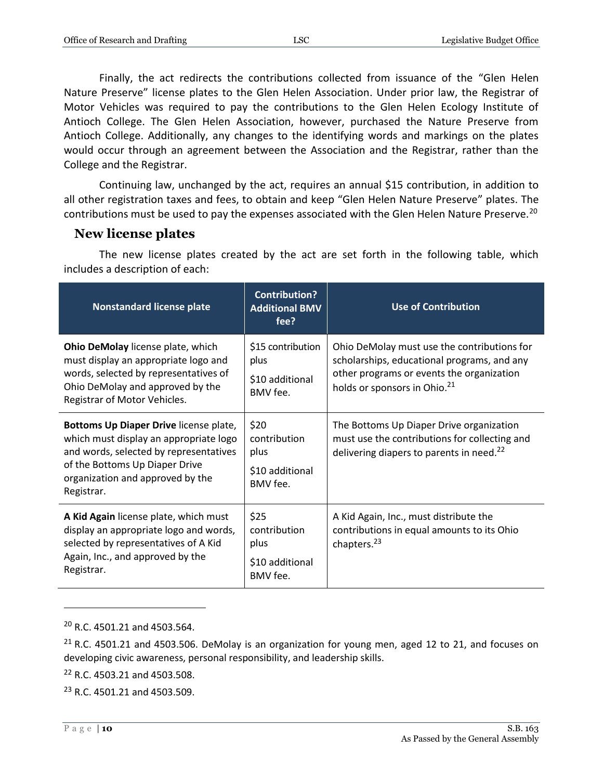Finally, the act redirects the contributions collected from issuance of the "Glen Helen Nature Preserve" license plates to the Glen Helen Association. Under prior law, the Registrar of Motor Vehicles was required to pay the contributions to the Glen Helen Ecology Institute of Antioch College. The Glen Helen Association, however, purchased the Nature Preserve from Antioch College. Additionally, any changes to the identifying words and markings on the plates would occur through an agreement between the Association and the Registrar, rather than the College and the Registrar.

Continuing law, unchanged by the act, requires an annual \$15 contribution, in addition to all other registration taxes and fees, to obtain and keep "Glen Helen Nature Preserve" plates. The contributions must be used to pay the expenses associated with the Glen Helen Nature Preserve.<sup>20</sup>

### <span id="page-9-0"></span>**New license plates**

The new license plates created by the act are set forth in the following table, which includes a description of each:

| <b>Nonstandard license plate</b>                                                                                                                                                                               | <b>Contribution?</b><br><b>Additional BMV</b><br>fee?       | <b>Use of Contribution</b>                                                                                                                                                          |
|----------------------------------------------------------------------------------------------------------------------------------------------------------------------------------------------------------------|-------------------------------------------------------------|-------------------------------------------------------------------------------------------------------------------------------------------------------------------------------------|
| Ohio DeMolay license plate, which<br>must display an appropriate logo and<br>words, selected by representatives of<br>Ohio DeMolay and approved by the<br>Registrar of Motor Vehicles.                         | \$15 contribution<br>plus<br>\$10 additional<br>BMV fee.    | Ohio DeMolay must use the contributions for<br>scholarships, educational programs, and any<br>other programs or events the organization<br>holds or sponsors in Ohio. <sup>21</sup> |
| Bottoms Up Diaper Drive license plate,<br>which must display an appropriate logo<br>and words, selected by representatives<br>of the Bottoms Up Diaper Drive<br>organization and approved by the<br>Registrar. | \$20<br>contribution<br>plus<br>\$10 additional<br>BMV fee. | The Bottoms Up Diaper Drive organization<br>must use the contributions for collecting and<br>delivering diapers to parents in need. <sup>22</sup>                                   |
| A Kid Again license plate, which must<br>display an appropriate logo and words,<br>selected by representatives of A Kid<br>Again, Inc., and approved by the<br>Registrar.                                      | \$25<br>contribution<br>plus<br>\$10 additional<br>BMV fee. | A Kid Again, Inc., must distribute the<br>contributions in equal amounts to its Ohio<br>chapters. <sup>23</sup>                                                                     |

 $20$  R.C. 4501.21 and 4503.564.

 $22$  R.C. 4503.21 and 4503.508.

 $21$  R.C. 4501.21 and 4503.506. DeMolay is an organization for young men, aged 12 to 21, and focuses on developing civic awareness, personal responsibility, and leadership skills.

<sup>23</sup> R.C. 4501.21 and 4503.509.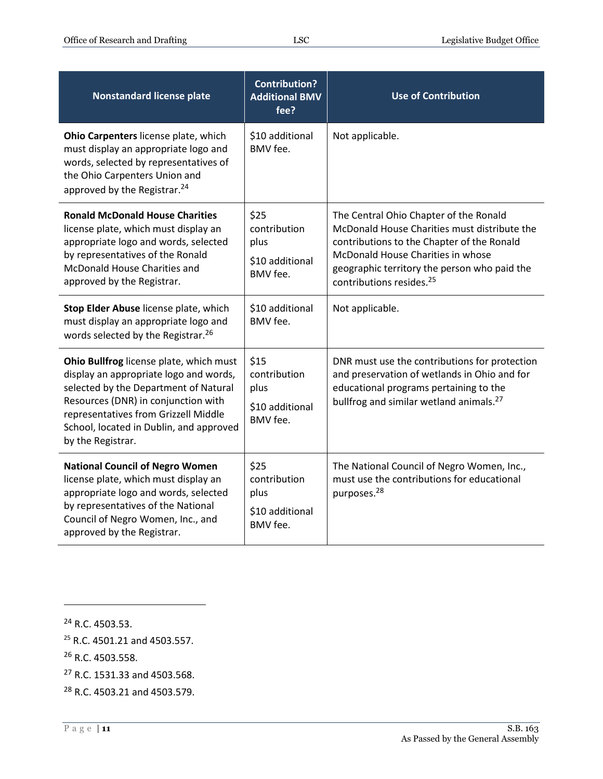| <b>Nonstandard license plate</b>                                                                                                                                                                                                                                          | <b>Contribution?</b><br><b>Additional BMV</b><br>fee?       | <b>Use of Contribution</b>                                                                                                                                                                                                                                        |
|---------------------------------------------------------------------------------------------------------------------------------------------------------------------------------------------------------------------------------------------------------------------------|-------------------------------------------------------------|-------------------------------------------------------------------------------------------------------------------------------------------------------------------------------------------------------------------------------------------------------------------|
| Ohio Carpenters license plate, which<br>must display an appropriate logo and<br>words, selected by representatives of<br>the Ohio Carpenters Union and<br>approved by the Registrar. <sup>24</sup>                                                                        | \$10 additional<br>BMV fee.                                 | Not applicable.                                                                                                                                                                                                                                                   |
| <b>Ronald McDonald House Charities</b><br>license plate, which must display an<br>appropriate logo and words, selected<br>by representatives of the Ronald<br>McDonald House Charities and<br>approved by the Registrar.                                                  | \$25<br>contribution<br>plus<br>\$10 additional<br>BMV fee. | The Central Ohio Chapter of the Ronald<br>McDonald House Charities must distribute the<br>contributions to the Chapter of the Ronald<br>McDonald House Charities in whose<br>geographic territory the person who paid the<br>contributions resides. <sup>25</sup> |
| Stop Elder Abuse license plate, which<br>must display an appropriate logo and<br>words selected by the Registrar. <sup>26</sup>                                                                                                                                           | \$10 additional<br>BMV fee.                                 | Not applicable.                                                                                                                                                                                                                                                   |
| Ohio Bullfrog license plate, which must<br>display an appropriate logo and words,<br>selected by the Department of Natural<br>Resources (DNR) in conjunction with<br>representatives from Grizzell Middle<br>School, located in Dublin, and approved<br>by the Registrar. | \$15<br>contribution<br>plus<br>\$10 additional<br>BMV fee. | DNR must use the contributions for protection<br>and preservation of wetlands in Ohio and for<br>educational programs pertaining to the<br>bullfrog and similar wetland animals. <sup>27</sup>                                                                    |
| <b>National Council of Negro Women</b><br>license plate, which must display an<br>appropriate logo and words, selected<br>by representatives of the National<br>Council of Negro Women, Inc., and<br>approved by the Registrar.                                           | \$25<br>contribution<br>plus<br>\$10 additional<br>BMV fee. | The National Council of Negro Women, Inc.,<br>must use the contributions for educational<br>purposes. <sup>28</sup>                                                                                                                                               |

- <sup>25</sup> R.C. 4501.21 and 4503.557.
- <sup>26</sup> R.C. 4503.558.
- <sup>27</sup> R.C. 1531.33 and 4503.568.
- <sup>28</sup> R.C. 4503.21 and 4503.579.

<sup>24</sup> R.C. 4503.53.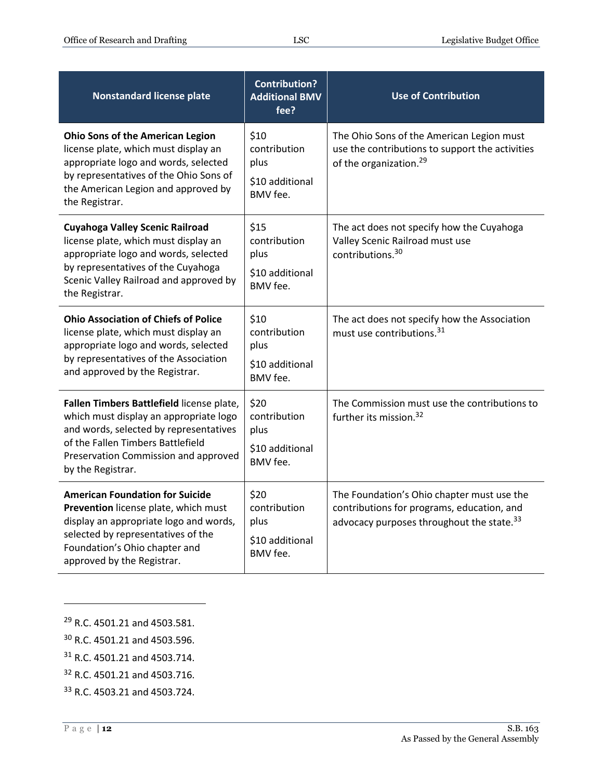| <b>Nonstandard license plate</b>                                                                                                                                                                                                | <b>Contribution?</b><br><b>Additional BMV</b><br>fee?       | <b>Use of Contribution</b>                                                                                                                        |
|---------------------------------------------------------------------------------------------------------------------------------------------------------------------------------------------------------------------------------|-------------------------------------------------------------|---------------------------------------------------------------------------------------------------------------------------------------------------|
| <b>Ohio Sons of the American Legion</b><br>license plate, which must display an<br>appropriate logo and words, selected<br>by representatives of the Ohio Sons of<br>the American Legion and approved by<br>the Registrar.      | \$10<br>contribution<br>plus<br>\$10 additional<br>BMV fee. | The Ohio Sons of the American Legion must<br>use the contributions to support the activities<br>of the organization. <sup>29</sup>                |
| <b>Cuyahoga Valley Scenic Railroad</b><br>license plate, which must display an<br>appropriate logo and words, selected<br>by representatives of the Cuyahoga<br>Scenic Valley Railroad and approved by<br>the Registrar.        | \$15<br>contribution<br>plus<br>\$10 additional<br>BMV fee. | The act does not specify how the Cuyahoga<br>Valley Scenic Railroad must use<br>contributions. <sup>30</sup>                                      |
| <b>Ohio Association of Chiefs of Police</b><br>license plate, which must display an<br>appropriate logo and words, selected<br>by representatives of the Association<br>and approved by the Registrar.                          | \$10<br>contribution<br>plus<br>\$10 additional<br>BMV fee. | The act does not specify how the Association<br>must use contributions. <sup>31</sup>                                                             |
| Fallen Timbers Battlefield license plate,<br>which must display an appropriate logo<br>and words, selected by representatives<br>of the Fallen Timbers Battlefield<br>Preservation Commission and approved<br>by the Registrar. | \$20<br>contribution<br>plus<br>\$10 additional<br>BMV fee. | The Commission must use the contributions to<br>further its mission. <sup>32</sup>                                                                |
| <b>American Foundation for Suicide</b><br>Prevention license plate, which must<br>display an appropriate logo and words,<br>selected by representatives of the<br>Foundation's Ohio chapter and<br>approved by the Registrar.   | \$20<br>contribution<br>plus<br>\$10 additional<br>BMV fee. | The Foundation's Ohio chapter must use the<br>contributions for programs, education, and<br>advocacy purposes throughout the state. <sup>33</sup> |

- <sup>29</sup> R.C. 4501.21 and 4503.581.
- <sup>30</sup> R.C. 4501.21 and 4503.596.
- <sup>31</sup> R.C. 4501.21 and 4503.714.
- <sup>32</sup> R.C. 4501.21 and 4503.716.
- <sup>33</sup> R.C. 4503.21 and 4503.724.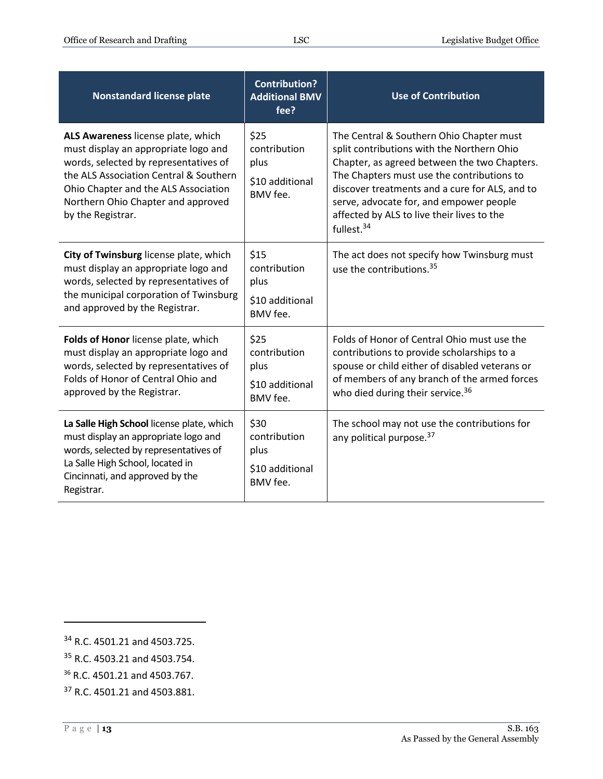| <b>Nonstandard license plate</b>                                                                                                                                                                                                                                 | <b>Contribution?</b><br><b>Additional BMV</b><br>fee?       | <b>Use of Contribution</b>                                                                                                                                                                                                                                                                                                                                |
|------------------------------------------------------------------------------------------------------------------------------------------------------------------------------------------------------------------------------------------------------------------|-------------------------------------------------------------|-----------------------------------------------------------------------------------------------------------------------------------------------------------------------------------------------------------------------------------------------------------------------------------------------------------------------------------------------------------|
| ALS Awareness license plate, which<br>must display an appropriate logo and<br>words, selected by representatives of<br>the ALS Association Central & Southern<br>Ohio Chapter and the ALS Association<br>Northern Ohio Chapter and approved<br>by the Registrar. | \$25<br>contribution<br>plus<br>\$10 additional<br>BMV fee. | The Central & Southern Ohio Chapter must<br>split contributions with the Northern Ohio<br>Chapter, as agreed between the two Chapters.<br>The Chapters must use the contributions to<br>discover treatments and a cure for ALS, and to<br>serve, advocate for, and empower people<br>affected by ALS to live their lives to the<br>fullest. <sup>34</sup> |
| City of Twinsburg license plate, which<br>must display an appropriate logo and<br>words, selected by representatives of<br>the municipal corporation of Twinsburg<br>and approved by the Registrar.                                                              | \$15<br>contribution<br>plus<br>\$10 additional<br>BMV fee. | The act does not specify how Twinsburg must<br>use the contributions. <sup>35</sup>                                                                                                                                                                                                                                                                       |
| Folds of Honor license plate, which<br>must display an appropriate logo and<br>words, selected by representatives of<br>Folds of Honor of Central Ohio and<br>approved by the Registrar.                                                                         | \$25<br>contribution<br>plus<br>\$10 additional<br>BMV fee. | Folds of Honor of Central Ohio must use the<br>contributions to provide scholarships to a<br>spouse or child either of disabled veterans or<br>of members of any branch of the armed forces<br>who died during their service. <sup>36</sup>                                                                                                               |
| La Salle High School license plate, which<br>must display an appropriate logo and<br>words, selected by representatives of<br>La Salle High School, located in<br>Cincinnati, and approved by the<br>Registrar.                                                  | \$30<br>contribution<br>plus<br>\$10 additional<br>BMV fee. | The school may not use the contributions for<br>any political purpose. <sup>37</sup>                                                                                                                                                                                                                                                                      |

<sup>34</sup> R.C. 4501.21 and 4503.725.

<sup>35</sup> R.C. 4503.21 and 4503.754.

<sup>36</sup> R.C. 4501.21 and 4503.767.

<sup>37</sup> R.C. 4501.21 and 4503.881.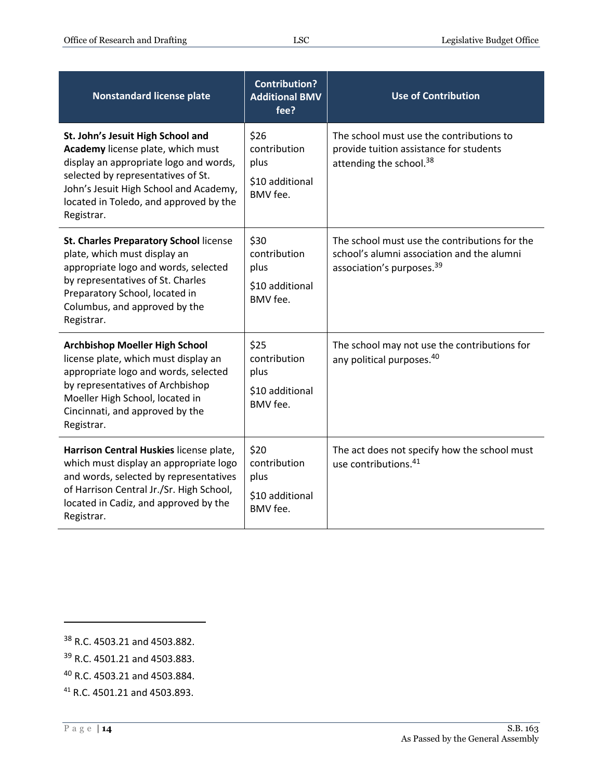| <b>Nonstandard license plate</b>                                                                                                                                                                                                                         | <b>Contribution?</b><br><b>Additional BMV</b><br>fee?       | <b>Use of Contribution</b>                                                                                                           |
|----------------------------------------------------------------------------------------------------------------------------------------------------------------------------------------------------------------------------------------------------------|-------------------------------------------------------------|--------------------------------------------------------------------------------------------------------------------------------------|
| St. John's Jesuit High School and<br>Academy license plate, which must<br>display an appropriate logo and words,<br>selected by representatives of St.<br>John's Jesuit High School and Academy,<br>located in Toledo, and approved by the<br>Registrar. | \$26<br>contribution<br>plus<br>\$10 additional<br>BMV fee. | The school must use the contributions to<br>provide tuition assistance for students<br>attending the school. <sup>38</sup>           |
| St. Charles Preparatory School license<br>plate, which must display an<br>appropriate logo and words, selected<br>by representatives of St. Charles<br>Preparatory School, located in<br>Columbus, and approved by the<br>Registrar.                     | \$30<br>contribution<br>plus<br>\$10 additional<br>BMV fee. | The school must use the contributions for the<br>school's alumni association and the alumni<br>association's purposes. <sup>39</sup> |
| <b>Archbishop Moeller High School</b><br>license plate, which must display an<br>appropriate logo and words, selected<br>by representatives of Archbishop<br>Moeller High School, located in<br>Cincinnati, and approved by the<br>Registrar.            | \$25<br>contribution<br>plus<br>\$10 additional<br>BMV fee. | The school may not use the contributions for<br>any political purposes. <sup>40</sup>                                                |
| Harrison Central Huskies license plate,<br>which must display an appropriate logo<br>and words, selected by representatives<br>of Harrison Central Jr./Sr. High School,<br>located in Cadiz, and approved by the<br>Registrar.                           | \$20<br>contribution<br>plus<br>\$10 additional<br>BMV fee. | The act does not specify how the school must<br>use contributions. <sup>41</sup>                                                     |

<sup>38</sup> R.C. 4503.21 and 4503.882.

<sup>39</sup> R.C. 4501.21 and 4503.883.

<sup>40</sup> R.C. 4503.21 and 4503.884.

<sup>41</sup> R.C. 4501.21 and 4503.893.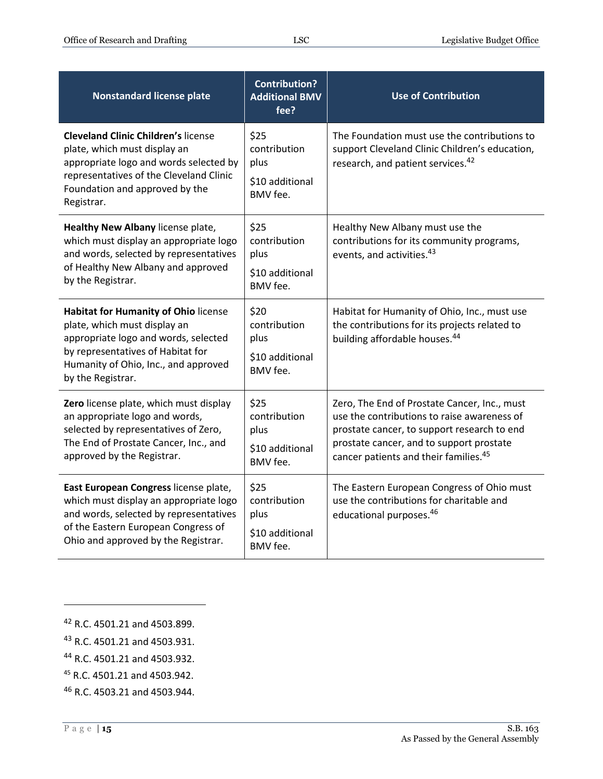| <b>Nonstandard license plate</b>                                                                                                                                                                                      | <b>Contribution?</b><br><b>Additional BMV</b><br>fee?              | <b>Use of Contribution</b>                                                                                                                                                                                                                  |
|-----------------------------------------------------------------------------------------------------------------------------------------------------------------------------------------------------------------------|--------------------------------------------------------------------|---------------------------------------------------------------------------------------------------------------------------------------------------------------------------------------------------------------------------------------------|
| <b>Cleveland Clinic Children's license</b><br>plate, which must display an<br>appropriate logo and words selected by<br>representatives of the Cleveland Clinic<br>Foundation and approved by the<br>Registrar.       | \$25<br>contribution<br>plus<br>\$10 additional<br>BMV fee.        | The Foundation must use the contributions to<br>support Cleveland Clinic Children's education,<br>research, and patient services. <sup>42</sup>                                                                                             |
| Healthy New Albany license plate,<br>which must display an appropriate logo<br>and words, selected by representatives<br>of Healthy New Albany and approved<br>by the Registrar.                                      | \$25<br>contribution<br>plus<br>\$10 additional<br><b>BMV</b> fee. | Healthy New Albany must use the<br>contributions for its community programs,<br>events, and activities. <sup>43</sup>                                                                                                                       |
| <b>Habitat for Humanity of Ohio license</b><br>plate, which must display an<br>appropriate logo and words, selected<br>by representatives of Habitat for<br>Humanity of Ohio, Inc., and approved<br>by the Registrar. | \$20<br>contribution<br>plus<br>\$10 additional<br>BMV fee.        | Habitat for Humanity of Ohio, Inc., must use<br>the contributions for its projects related to<br>building affordable houses. <sup>44</sup>                                                                                                  |
| Zero license plate, which must display<br>an appropriate logo and words,<br>selected by representatives of Zero,<br>The End of Prostate Cancer, Inc., and<br>approved by the Registrar.                               | \$25<br>contribution<br>plus<br>\$10 additional<br>BMV fee.        | Zero, The End of Prostate Cancer, Inc., must<br>use the contributions to raise awareness of<br>prostate cancer, to support research to end<br>prostate cancer, and to support prostate<br>cancer patients and their families. <sup>45</sup> |
| East European Congress license plate,<br>which must display an appropriate logo<br>and words, selected by representatives<br>of the Eastern European Congress of<br>Ohio and approved by the Registrar.               | \$25<br>contribution<br>plus<br>\$10 additional<br>BMV fee.        | The Eastern European Congress of Ohio must<br>use the contributions for charitable and<br>educational purposes. <sup>46</sup>                                                                                                               |

<sup>42</sup> R.C. 4501.21 and 4503.899.

<sup>43</sup> R.C. 4501.21 and 4503.931.

<sup>44</sup> R.C. 4501.21 and 4503.932.

<sup>45</sup> R.C. 4501.21 and 4503.942.

<sup>46</sup> R.C. 4503.21 and 4503.944.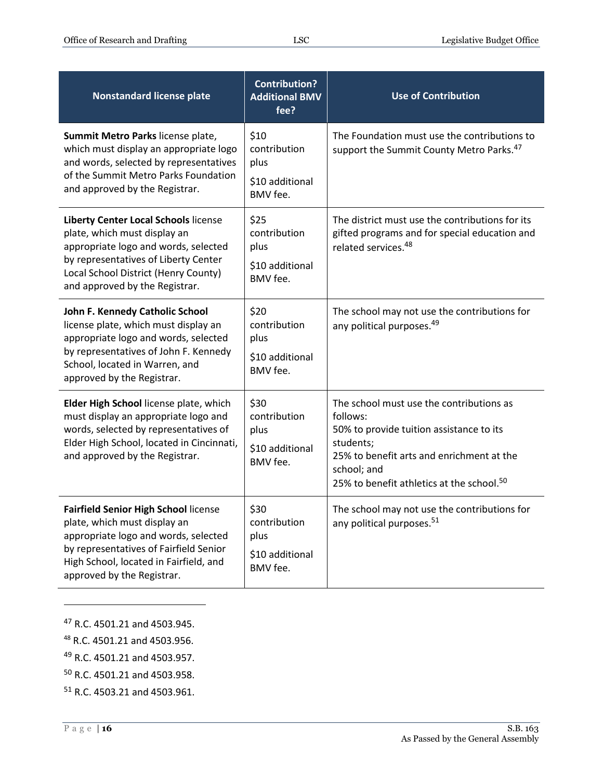| <b>Nonstandard license plate</b>                                                                                                                                                                                                      | <b>Contribution?</b><br><b>Additional BMV</b><br>fee?       | <b>Use of Contribution</b>                                                                                                                                                                                                         |
|---------------------------------------------------------------------------------------------------------------------------------------------------------------------------------------------------------------------------------------|-------------------------------------------------------------|------------------------------------------------------------------------------------------------------------------------------------------------------------------------------------------------------------------------------------|
| Summit Metro Parks license plate,<br>which must display an appropriate logo<br>and words, selected by representatives<br>of the Summit Metro Parks Foundation<br>and approved by the Registrar.                                       | \$10<br>contribution<br>plus<br>\$10 additional<br>BMV fee. | The Foundation must use the contributions to<br>support the Summit County Metro Parks. <sup>47</sup>                                                                                                                               |
| <b>Liberty Center Local Schools license</b><br>plate, which must display an<br>appropriate logo and words, selected<br>by representatives of Liberty Center<br>Local School District (Henry County)<br>and approved by the Registrar. | \$25<br>contribution<br>plus<br>\$10 additional<br>BMV fee. | The district must use the contributions for its<br>gifted programs and for special education and<br>related services. <sup>48</sup>                                                                                                |
| John F. Kennedy Catholic School<br>license plate, which must display an<br>appropriate logo and words, selected<br>by representatives of John F. Kennedy<br>School, located in Warren, and<br>approved by the Registrar.              | \$20<br>contribution<br>plus<br>\$10 additional<br>BMV fee. | The school may not use the contributions for<br>any political purposes. <sup>49</sup>                                                                                                                                              |
| Elder High School license plate, which<br>must display an appropriate logo and<br>words, selected by representatives of<br>Elder High School, located in Cincinnati,<br>and approved by the Registrar.                                | \$30<br>contribution<br>plus<br>\$10 additional<br>BMV fee. | The school must use the contributions as<br>follows:<br>50% to provide tuition assistance to its<br>students;<br>25% to benefit arts and enrichment at the<br>school; and<br>25% to benefit athletics at the school. <sup>50</sup> |
| <b>Fairfield Senior High School license</b><br>plate, which must display an<br>appropriate logo and words, selected<br>by representatives of Fairfield Senior<br>High School, located in Fairfield, and<br>approved by the Registrar. | \$30<br>contribution<br>plus<br>\$10 additional<br>BMV fee. | The school may not use the contributions for<br>any political purposes. <sup>51</sup>                                                                                                                                              |

- <sup>47</sup> R.C. 4501.21 and 4503.945.
- <sup>48</sup> R.C. 4501.21 and 4503.956.
- <sup>49</sup> R.C. 4501.21 and 4503.957.
- <sup>50</sup> R.C. 4501.21 and 4503.958.
- <sup>51</sup> R.C. 4503.21 and 4503.961.